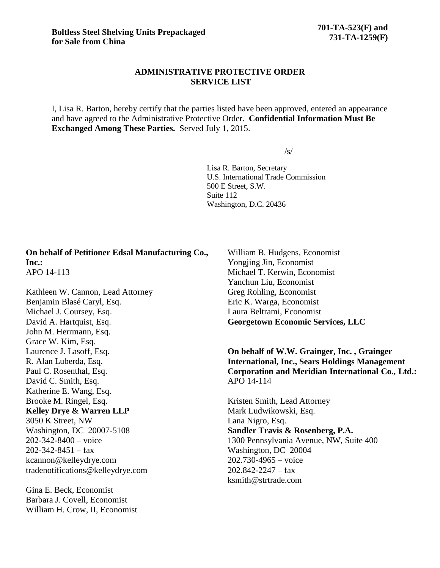## **ADMINISTRATIVE PROTECTIVE ORDER SERVICE LIST**

I, Lisa R. Barton, hereby certify that the parties listed have been approved, entered an appearance and have agreed to the Administrative Protective Order. **Confidential Information Must Be Exchanged Among These Parties.** Served July 1, 2015.

 $/s/$ 

Lisa R. Barton, Secretary U.S. International Trade Commission 500 E Street, S.W. Suite 112 Washington, D.C. 20436

**On behalf of Petitioner Edsal Manufacturing Co., Inc.:** APO 14-113

Kathleen W. Cannon, Lead Attorney Benjamin Blasé Caryl, Esq. Michael J. Coursey, Esq. David A. Hartquist, Esq. John M. Herrmann, Esq. Grace W. Kim, Esq. Laurence J. Lasoff, Esq. R. Alan Luberda, Esq. Paul C. Rosenthal, Esq. David C. Smith, Esq. Katherine E. Wang, Esq. Brooke M. Ringel, Esq. **Kelley Drye & Warren LLP** 3050 K Street, NW Washington, DC 20007-5108 202-342-8400 – voice  $202 - 342 - 8451 - fax$ kcannon@kelleydrye.com tradenotifications@kelleydrye.com

Gina E. Beck, Economist Barbara J. Covell, Economist William H. Crow, II, Economist

William B. Hudgens, Economist Yongjing Jin, Economist Michael T. Kerwin, Economist Yanchun Liu, Economist Greg Rohling, Economist Eric K. Warga, Economist Laura Beltrami, Economist **Georgetown Economic Services, LLC**

**On behalf of W.W. Grainger, Inc. , Grainger International, Inc., Sears Holdings Management Corporation and Meridian International Co., Ltd.:** APO 14-114

Kristen Smith, Lead Attorney Mark Ludwikowski, Esq. Lana Nigro, Esq. **Sandler Travis & Rosenberg, P.A.**  1300 Pennsylvania Avenue, NW, Suite 400 Washington, DC 20004 202.730-4965 – voice  $202.842 - 2247 - fax$ ksmith@strtrade.com